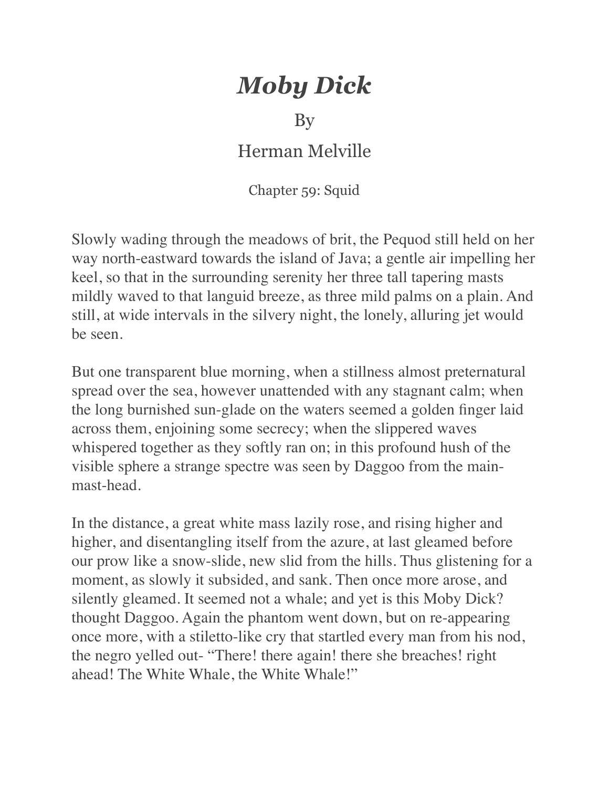## *Moby Dick*

## By

## Herman Melville

Chapter 59: Squid

Slowly wading through the meadows of brit, the Pequod still held on her way north-eastward towards the island of Java; a gentle air impelling her keel, so that in the surrounding serenity her three tall tapering masts mildly waved to that languid breeze, as three mild palms on a plain. And still, at wide intervals in the silvery night, the lonely, alluring jet would be seen.

But one transparent blue morning, when a stillness almost preternatural spread over the sea, however unattended with any stagnant calm; when the long burnished sun-glade on the waters seemed a golden finger laid across them, enjoining some secrecy; when the slippered waves whispered together as they softly ran on; in this profound hush of the visible sphere a strange spectre was seen by Daggoo from the mainmast-head.

In the distance, a great white mass lazily rose, and rising higher and higher, and disentangling itself from the azure, at last gleamed before our prow like a snow-slide, new slid from the hills. Thus glistening for a moment, as slowly it subsided, and sank. Then once more arose, and silently gleamed. It seemed not a whale; and yet is this Moby Dick? thought Daggoo. Again the phantom went down, but on re-appearing once more, with a stiletto-like cry that startled every man from his nod, the negro yelled out- "There! there again! there she breaches! right ahead! The White Whale, the White Whale!"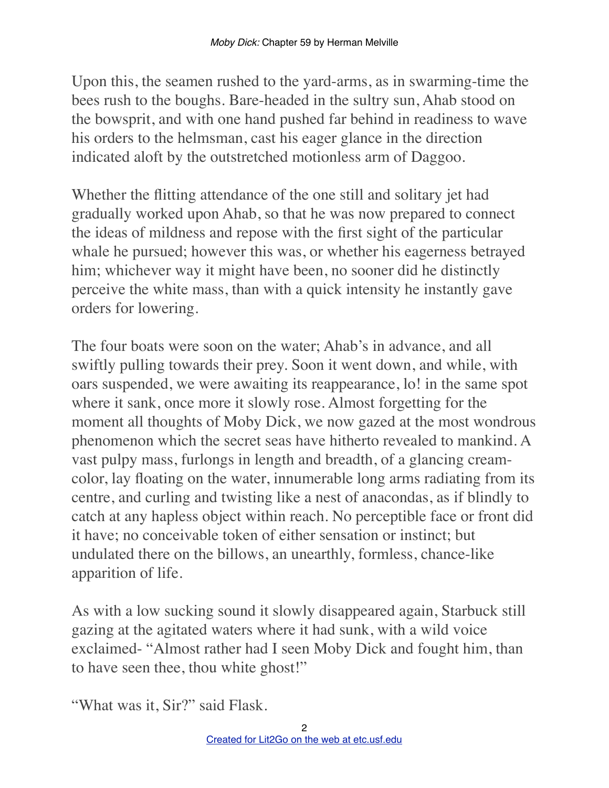Upon this, the seamen rushed to the yard-arms, as in swarming-time the bees rush to the boughs. Bare-headed in the sultry sun, Ahab stood on the bowsprit, and with one hand pushed far behind in readiness to wave his orders to the helmsman, cast his eager glance in the direction indicated aloft by the outstretched motionless arm of Daggoo.

Whether the flitting attendance of the one still and solitary jet had gradually worked upon Ahab, so that he was now prepared to connect the ideas of mildness and repose with the first sight of the particular whale he pursued; however this was, or whether his eagerness betrayed him; whichever way it might have been, no sooner did he distinctly perceive the white mass, than with a quick intensity he instantly gave orders for lowering.

The four boats were soon on the water; Ahab's in advance, and all swiftly pulling towards their prey. Soon it went down, and while, with oars suspended, we were awaiting its reappearance, lo! in the same spot where it sank, once more it slowly rose. Almost forgetting for the moment all thoughts of Moby Dick, we now gazed at the most wondrous phenomenon which the secret seas have hitherto revealed to mankind. A vast pulpy mass, furlongs in length and breadth, of a glancing creamcolor, lay floating on the water, innumerable long arms radiating from its centre, and curling and twisting like a nest of anacondas, as if blindly to catch at any hapless object within reach. No perceptible face or front did it have; no conceivable token of either sensation or instinct; but undulated there on the billows, an unearthly, formless, chance-like apparition of life.

As with a low sucking sound it slowly disappeared again, Starbuck still gazing at the agitated waters where it had sunk, with a wild voice exclaimed- "Almost rather had I seen Moby Dick and fought him, than to have seen thee, thou white ghost!"

"What was it, Sir?" said Flask.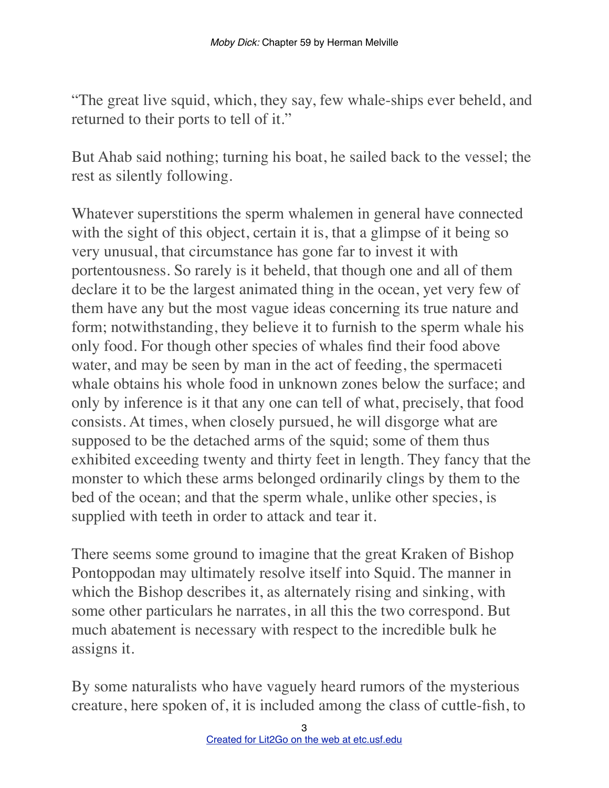"The great live squid, which, they say, few whale-ships ever beheld, and returned to their ports to tell of it."

But Ahab said nothing; turning his boat, he sailed back to the vessel; the rest as silently following.

Whatever superstitions the sperm whalemen in general have connected with the sight of this object, certain it is, that a glimpse of it being so very unusual, that circumstance has gone far to invest it with portentousness. So rarely is it beheld, that though one and all of them declare it to be the largest animated thing in the ocean, yet very few of them have any but the most vague ideas concerning its true nature and form; notwithstanding, they believe it to furnish to the sperm whale his only food. For though other species of whales find their food above water, and may be seen by man in the act of feeding, the spermaceti whale obtains his whole food in unknown zones below the surface; and only by inference is it that any one can tell of what, precisely, that food consists. At times, when closely pursued, he will disgorge what are supposed to be the detached arms of the squid; some of them thus exhibited exceeding twenty and thirty feet in length. They fancy that the monster to which these arms belonged ordinarily clings by them to the bed of the ocean; and that the sperm whale, unlike other species, is supplied with teeth in order to attack and tear it.

There seems some ground to imagine that the great Kraken of Bishop Pontoppodan may ultimately resolve itself into Squid. The manner in which the Bishop describes it, as alternately rising and sinking, with some other particulars he narrates, in all this the two correspond. But much abatement is necessary with respect to the incredible bulk he assigns it.

By some naturalists who have vaguely heard rumors of the mysterious creature, here spoken of, it is included among the class of cuttle-fish, to